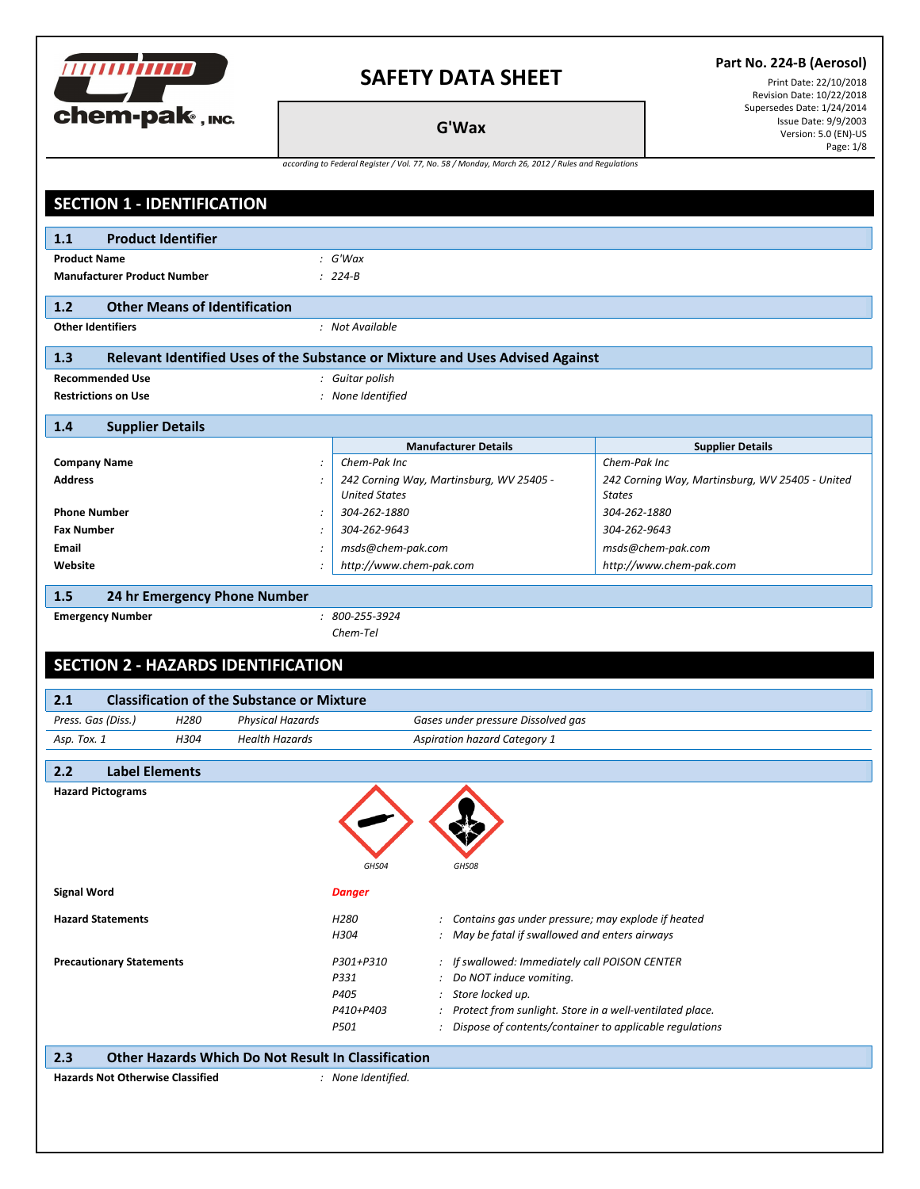

#### **Part No. 224-B (Aerosol)**

Print Date: 22/10/2018 Revision Date: 10/22/2018 Supersedes Date: 1/24/2014 Issue Date: 9/9/2003 Version: 5.0 (EN)-US Page: 1/8

**G'Wax**

| according to Federal Register / Vol. 77, No. 58 / Monday, March 26, 2012 / Rules and Regulations |
|--------------------------------------------------------------------------------------------------|
|--------------------------------------------------------------------------------------------------|

| <b>SECTION 1 - IDENTIFICATION</b>                                 |                                                                               |                                                 |  |  |
|-------------------------------------------------------------------|-------------------------------------------------------------------------------|-------------------------------------------------|--|--|
| <b>Product Identifier</b><br>1.1                                  |                                                                               |                                                 |  |  |
| <b>Product Name</b><br>: G'Wax                                    |                                                                               |                                                 |  |  |
| <b>Manufacturer Product Number</b><br>$: 224 - B$                 |                                                                               |                                                 |  |  |
| <b>Other Means of Identification</b><br>1.2                       |                                                                               |                                                 |  |  |
| <b>Other Identifiers</b>                                          | : Not Available                                                               |                                                 |  |  |
| 1.3                                                               | Relevant Identified Uses of the Substance or Mixture and Uses Advised Against |                                                 |  |  |
| <b>Recommended Use</b>                                            | : Guitar polish                                                               |                                                 |  |  |
| <b>Restrictions on Use</b>                                        | : None Identified                                                             |                                                 |  |  |
| 1.4<br><b>Supplier Details</b>                                    |                                                                               |                                                 |  |  |
|                                                                   | <b>Manufacturer Details</b>                                                   | <b>Supplier Details</b>                         |  |  |
| <b>Company Name</b>                                               | Chem-Pak Inc                                                                  | Chem-Pak Inc                                    |  |  |
| <b>Address</b>                                                    | 242 Corning Way, Martinsburg, WV 25405 -                                      | 242 Corning Way, Martinsburg, WV 25405 - United |  |  |
|                                                                   | <b>United States</b>                                                          | <b>States</b>                                   |  |  |
| <b>Phone Number</b>                                               | 304-262-1880                                                                  | 304-262-1880                                    |  |  |
| <b>Fax Number</b>                                                 | 304-262-9643                                                                  | 304-262-9643                                    |  |  |
| Email                                                             | msds@chem-pak.com                                                             | msds@chem-pak.com                               |  |  |
| Website                                                           | http://www.chem-pak.com                                                       | http://www.chem-pak.com                         |  |  |
| 1.5<br>24 hr Emergency Phone Number                               |                                                                               |                                                 |  |  |
| <b>Emergency Number</b>                                           | $: 800 - 255 - 3924$                                                          |                                                 |  |  |
|                                                                   | Chem-Tel                                                                      |                                                 |  |  |
| <b>SECTION 2 - HAZARDS IDENTIFICATION</b>                         |                                                                               |                                                 |  |  |
| <b>Classification of the Substance or Mixture</b><br>2.1          |                                                                               |                                                 |  |  |
| Press. Gas (Diss.)<br>H <sub>280</sub><br><b>Physical Hazards</b> | Gases under pressure Dissolved gas                                            |                                                 |  |  |
| <b>Health Hazards</b><br>H304<br>Asp. Tox. 1                      | <b>Aspiration hazard Category 1</b>                                           |                                                 |  |  |
| <b>Label Elements</b><br>2.2                                      |                                                                               |                                                 |  |  |
| <b>Hazard Pictograms</b>                                          |                                                                               |                                                 |  |  |
|                                                                   |                                                                               |                                                 |  |  |
|                                                                   |                                                                               |                                                 |  |  |
|                                                                   |                                                                               |                                                 |  |  |
|                                                                   | GHS08<br>GHS04                                                                |                                                 |  |  |
| <b>Signal Word</b>                                                | <b>Danger</b>                                                                 |                                                 |  |  |
| <b>Hazard Statements</b>                                          | : Contains gas under pressure; may explode if heated<br>H280                  |                                                 |  |  |
|                                                                   | H304<br>: May be fatal if swallowed and enters airways                        |                                                 |  |  |
| <b>Precautionary Statements</b>                                   | : If swallowed: Immediately call POISON CENTER<br>P301+P310                   |                                                 |  |  |
|                                                                   | Do NOT induce vomiting.<br>P331                                               |                                                 |  |  |
|                                                                   | P405<br>Store locked up.<br>$\cdot$                                           |                                                 |  |  |
|                                                                   | P410+P403<br>Protect from sunlight. Store in a well-ventilated place.         |                                                 |  |  |
|                                                                   | Dispose of contents/container to applicable regulations<br>P501               |                                                 |  |  |
| 2.3<br><b>Other Hazards Which Do Not Result In Classification</b> |                                                                               |                                                 |  |  |
| <b>Hazards Not Otherwise Classified</b><br>: None Identified.     |                                                                               |                                                 |  |  |
|                                                                   |                                                                               |                                                 |  |  |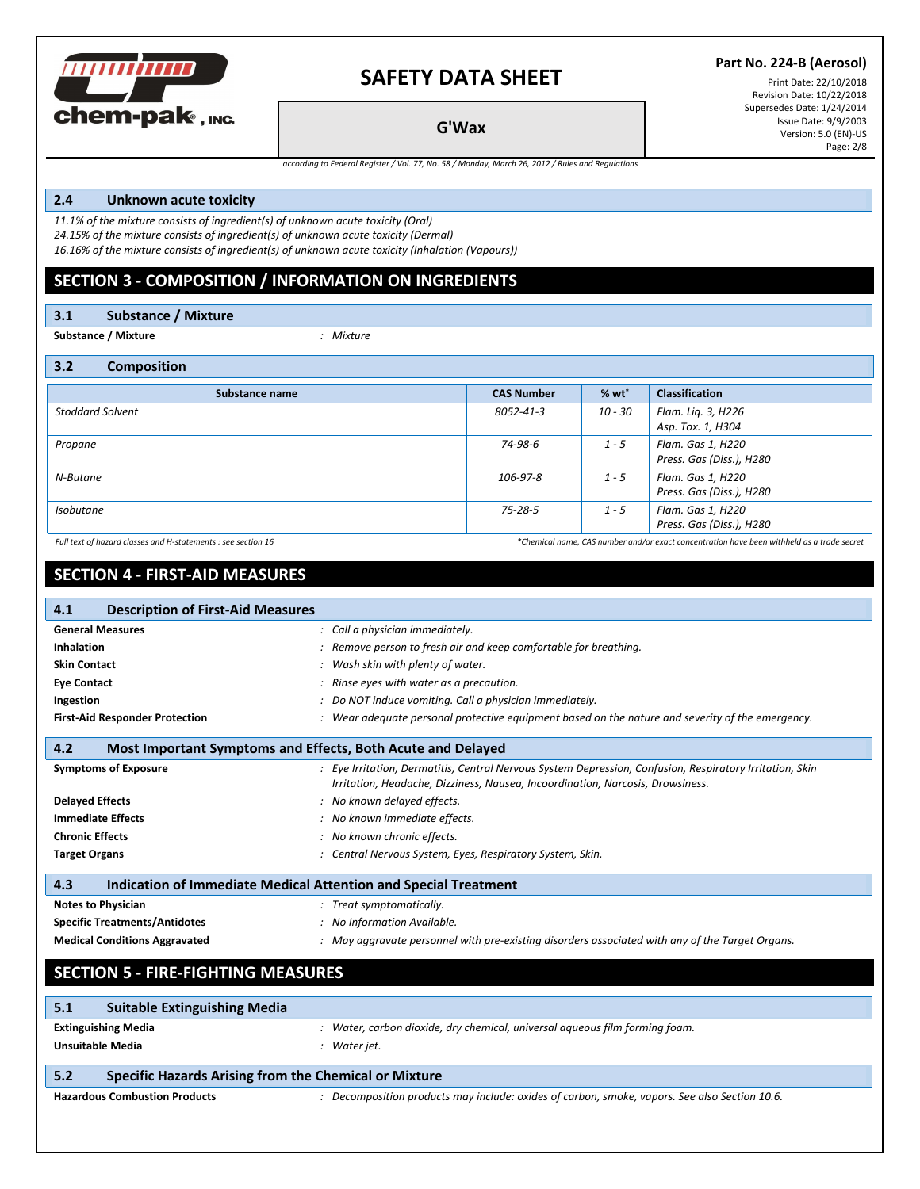

#### **Part No. 224-B (Aerosol)**

Print Date: 22/10/2018 Revision Date: 10/22/2018 Supersedes Date: 1/24/2014 Issue Date: 9/9/2003 Version: 5.0 (EN)-US Page: 2/8

**G'Wax**

*according to Federal Register / Vol. 77, No. 58 / Monday, March 26, 2012 / Rules and Regulations*

#### **2.4 Unknown acute toxicity**

*11.1% of the mixture consists of ingredient(s) of unknown acute toxicity (Oral) 24.15% of the mixture consists of ingredient(s) of unknown acute toxicity (Dermal) 16.16% of the mixture consists of ingredient(s) of unknown acute toxicity (Inhalation (Vapours))*

### **SECTION 3 - COMPOSITION / INFORMATION ON INGREDIENTS**

**3.1 Substance / Mixture**

**Substance / Mixture** *: Mixture*

**3.2 Composition**

| $\cdots$<br><b>COMPOSITION</b> |                   |            |                                               |
|--------------------------------|-------------------|------------|-----------------------------------------------|
| Substance name                 | <b>CAS Number</b> | $%$ wt $*$ | <b>Classification</b>                         |
| <b>Stoddard Solvent</b>        | 8052-41-3         | 10 - 30    | Flam. Lig. 3, H226<br>Asp. Tox. 1, H304       |
| Propane                        | 74-98-6           | $1 - 5$    | Flam. Gas 1, H220<br>Press. Gas (Diss.), H280 |
| N-Butane                       | 106-97-8          | $1 - 5$    | Flam. Gas 1, H220<br>Press. Gas (Diss.), H280 |
| <b>Isobutane</b>               | 75-28-5           | $1 - 5$    | Flam. Gas 1, H220<br>Press. Gas (Diss.), H280 |

Full text of hazard classes and H-statements : see section 16 excet to the second the second text of hazard classes and H-statements : see section 16 excet to have been withheld as a trade secret

## **SECTION 4 - FIRST-AID MEASURES**

| <b>Description of First-Aid Measures</b><br>4.1                        |                                                                                                                                                                                            |  |
|------------------------------------------------------------------------|--------------------------------------------------------------------------------------------------------------------------------------------------------------------------------------------|--|
| <b>General Measures</b>                                                | : Call a physician immediately.                                                                                                                                                            |  |
| Inhalation                                                             | : Remove person to fresh air and keep comfortable for breathing.                                                                                                                           |  |
| <b>Skin Contact</b>                                                    | : Wash skin with plenty of water.                                                                                                                                                          |  |
| <b>Eye Contact</b>                                                     | : Rinse eyes with water as a precaution.                                                                                                                                                   |  |
| Ingestion                                                              | : Do NOT induce vomiting. Call a physician immediately.                                                                                                                                    |  |
| <b>First-Aid Responder Protection</b>                                  | : Wear adequate personal protective equipment based on the nature and severity of the emergency.                                                                                           |  |
| 4.2<br>Most Important Symptoms and Effects, Both Acute and Delayed     |                                                                                                                                                                                            |  |
| <b>Symptoms of Exposure</b>                                            | : Eye Irritation, Dermatitis, Central Nervous System Depression, Confusion, Respiratory Irritation, Skin<br>Irritation, Headache, Dizziness, Nausea, Incoordination, Narcosis, Drowsiness. |  |
| <b>Delayed Effects</b>                                                 | : No known delayed effects.                                                                                                                                                                |  |
| <b>Immediate Effects</b>                                               | : No known immediate effects.                                                                                                                                                              |  |
| <b>Chronic Effects</b>                                                 | : No known chronic effects.                                                                                                                                                                |  |
| <b>Target Organs</b>                                                   | : Central Nervous System, Eyes, Respiratory System, Skin.                                                                                                                                  |  |
| Indication of Immediate Medical Attention and Special Treatment<br>4.3 |                                                                                                                                                                                            |  |
| <b>Notes to Physician</b>                                              | : Treat symptomatically.                                                                                                                                                                   |  |
| <b>Specific Treatments/Antidotes</b>                                   | : No Information Available.                                                                                                                                                                |  |
| <b>Medical Conditions Aggravated</b>                                   | : May aggravate personnel with pre-existing disorders associated with any of the Target Organs.                                                                                            |  |
| <b>SECTION 5 - FIRE-FIGHTING MEASURES</b>                              |                                                                                                                                                                                            |  |
| <b>Suitable Extinguishing Media</b><br>5.1                             |                                                                                                                                                                                            |  |
| <b>Extinguishing Media</b>                                             | : Water, carbon dioxide, dry chemical, universal aqueous film forming foam.                                                                                                                |  |
| <b>Unsuitable Media</b>                                                | : Water jet.                                                                                                                                                                               |  |
| Specific Hazards Arising from the Chemical or Mixture<br>5.2           |                                                                                                                                                                                            |  |
| <b>Hazardous Combustion Products</b>                                   | : Decomposition products may include: oxides of carbon, smoke, vapors. See also Section 10.6.                                                                                              |  |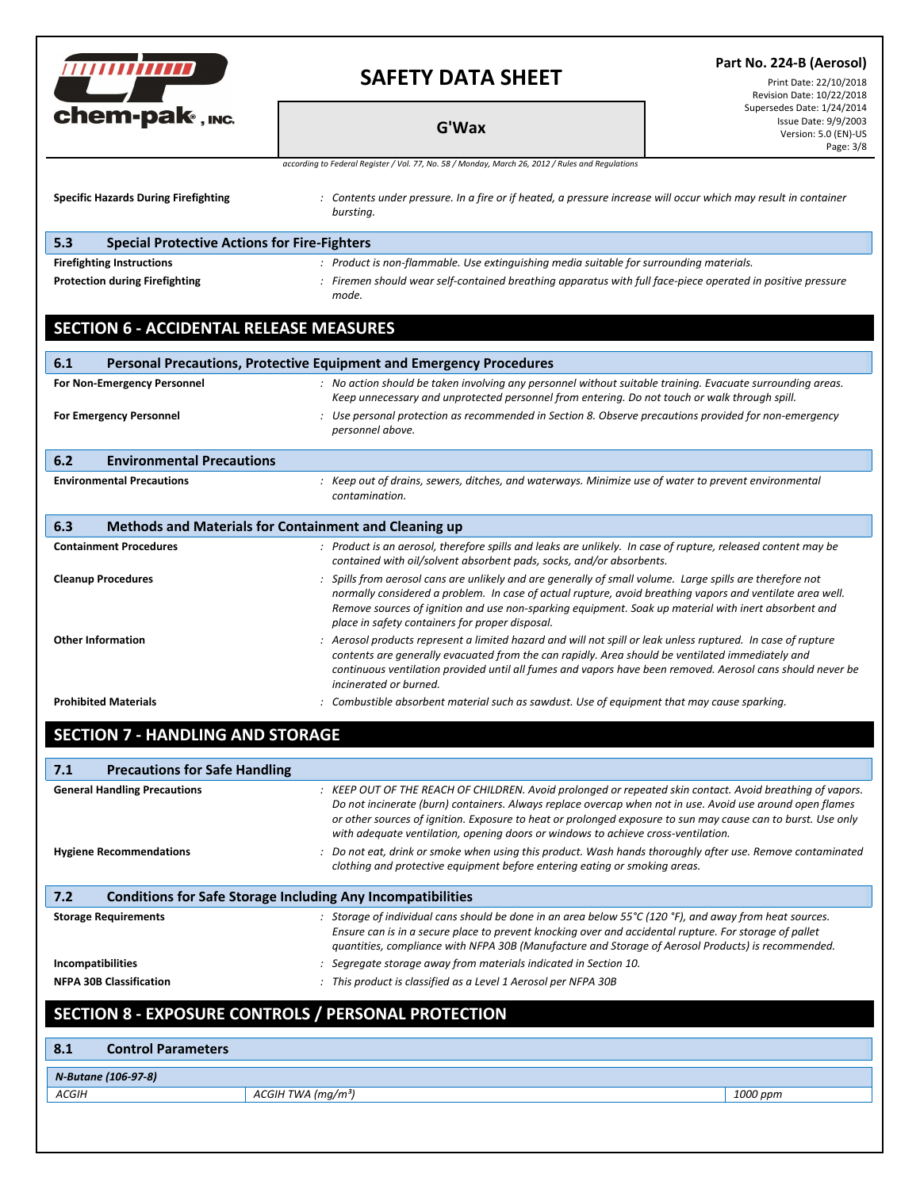|                                                                           | <b>SAFETY DATA SHEET</b>                                                                                                                                                                                                                                                                                                                                                                                                    | Part No. 224-B (Aerosol)<br>Print Date: 22/10/2018<br>Revision Date: 10/22/2018         |  |
|---------------------------------------------------------------------------|-----------------------------------------------------------------------------------------------------------------------------------------------------------------------------------------------------------------------------------------------------------------------------------------------------------------------------------------------------------------------------------------------------------------------------|-----------------------------------------------------------------------------------------|--|
| chem-pak, INC.                                                            | <b>G'Wax</b>                                                                                                                                                                                                                                                                                                                                                                                                                | Supersedes Date: 1/24/2014<br>Issue Date: 9/9/2003<br>Version: 5.0 (EN)-US<br>Page: 3/8 |  |
|                                                                           | according to Federal Register / Vol. 77, No. 58 / Monday, March 26, 2012 / Rules and Regulations                                                                                                                                                                                                                                                                                                                            |                                                                                         |  |
| <b>Specific Hazards During Firefighting</b>                               | : Contents under pressure. In a fire or if heated, a pressure increase will occur which may result in container<br>bursting.                                                                                                                                                                                                                                                                                                |                                                                                         |  |
| <b>Special Protective Actions for Fire-Fighters</b><br>5.3                |                                                                                                                                                                                                                                                                                                                                                                                                                             |                                                                                         |  |
| <b>Firefighting Instructions</b><br><b>Protection during Firefighting</b> | : Product is non-flammable. Use extinguishing media suitable for surrounding materials.<br>: Firemen should wear self-contained breathing apparatus with full face-piece operated in positive pressure<br>mode.                                                                                                                                                                                                             |                                                                                         |  |
| <b>SECTION 6 - ACCIDENTAL RELEASE MEASURES</b>                            |                                                                                                                                                                                                                                                                                                                                                                                                                             |                                                                                         |  |
| 6.1                                                                       | <b>Personal Precautions, Protective Equipment and Emergency Procedures</b>                                                                                                                                                                                                                                                                                                                                                  |                                                                                         |  |
| For Non-Emergency Personnel                                               | : No action should be taken involving any personnel without suitable training. Evacuate surrounding areas.                                                                                                                                                                                                                                                                                                                  |                                                                                         |  |
| <b>For Emergency Personnel</b>                                            | Keep unnecessary and unprotected personnel from entering. Do not touch or walk through spill.<br>: Use personal protection as recommended in Section 8. Observe precautions provided for non-emergency<br>personnel above.                                                                                                                                                                                                  |                                                                                         |  |
| <b>Environmental Precautions</b><br>6.2                                   |                                                                                                                                                                                                                                                                                                                                                                                                                             |                                                                                         |  |
| <b>Environmental Precautions</b>                                          | : Keep out of drains, sewers, ditches, and waterways. Minimize use of water to prevent environmental<br>contamination.                                                                                                                                                                                                                                                                                                      |                                                                                         |  |
| 6.3                                                                       | Methods and Materials for Containment and Cleaning up                                                                                                                                                                                                                                                                                                                                                                       |                                                                                         |  |
| <b>Containment Procedures</b>                                             | : Product is an aerosol, therefore spills and leaks are unlikely. In case of rupture, released content may be<br>contained with oil/solvent absorbent pads, socks, and/or absorbents.                                                                                                                                                                                                                                       |                                                                                         |  |
| <b>Cleanup Procedures</b>                                                 | : Spills from aerosol cans are unlikely and are generally of small volume. Large spills are therefore not<br>normally considered a problem. In case of actual rupture, avoid breathing vapors and ventilate area well.<br>Remove sources of ignition and use non-sparking equipment. Soak up material with inert absorbent and<br>place in safety containers for proper disposal.                                           |                                                                                         |  |
| <b>Other Information</b>                                                  | : Aerosol products represent a limited hazard and will not spill or leak unless ruptured. In case of rupture<br>contents are generally evacuated from the can rapidly. Area should be ventilated immediately and<br>continuous ventilation provided until all fumes and vapors have been removed. Aerosol cans should never be<br>incinerated or burned.                                                                    |                                                                                         |  |
| <b>Prohibited Materials</b>                                               | : Combustible absorbent material such as sawdust. Use of equipment that may cause sparking.                                                                                                                                                                                                                                                                                                                                 |                                                                                         |  |
| <b>SECTION 7 - HANDLING AND STORAGE</b>                                   |                                                                                                                                                                                                                                                                                                                                                                                                                             |                                                                                         |  |
| <b>Precautions for Safe Handling</b><br>7.1                               |                                                                                                                                                                                                                                                                                                                                                                                                                             |                                                                                         |  |
| <b>General Handling Precautions</b>                                       | : KEEP OUT OF THE REACH OF CHILDREN. Avoid prolonged or repeated skin contact. Avoid breathing of vapors.<br>Do not incinerate (burn) containers. Always replace overcap when not in use. Avoid use around open flames<br>or other sources of ignition. Exposure to heat or prolonged exposure to sun may cause can to burst. Use only<br>with adequate ventilation, opening doors or windows to achieve cross-ventilation. |                                                                                         |  |
| <b>Hygiene Recommendations</b>                                            | : Do not eat, drink or smoke when using this product. Wash hands thoroughly after use. Remove contaminated<br>clothing and protective equipment before entering eating or smoking areas.                                                                                                                                                                                                                                    |                                                                                         |  |
| 7.2                                                                       | <b>Conditions for Safe Storage Including Any Incompatibilities</b>                                                                                                                                                                                                                                                                                                                                                          |                                                                                         |  |
| <b>Storage Requirements</b>                                               | : Storage of individual cans should be done in an area below 55°C (120 °F), and away from heat sources.<br>Ensure can is in a secure place to prevent knocking over and accidental rupture. For storage of pallet<br>quantities, compliance with NFPA 30B (Manufacture and Storage of Aerosol Products) is recommended.                                                                                                     |                                                                                         |  |
| Incompatibilities<br><b>NFPA 30B Classification</b>                       | : Segregate storage away from materials indicated in Section 10.<br>: This product is classified as a Level 1 Aerosol per NFPA 30B                                                                                                                                                                                                                                                                                          |                                                                                         |  |
|                                                                           | <b>SECTION 8 - EXPOSURE CONTROLS / PERSONAL PROTECTION</b>                                                                                                                                                                                                                                                                                                                                                                  |                                                                                         |  |
| <b>Control Parameters</b><br>8.1                                          |                                                                                                                                                                                                                                                                                                                                                                                                                             |                                                                                         |  |
| N-Butane (106-97-8)                                                       |                                                                                                                                                                                                                                                                                                                                                                                                                             |                                                                                         |  |

*ACGIH ACGIH TWA (mg/m³) 1000 ppm*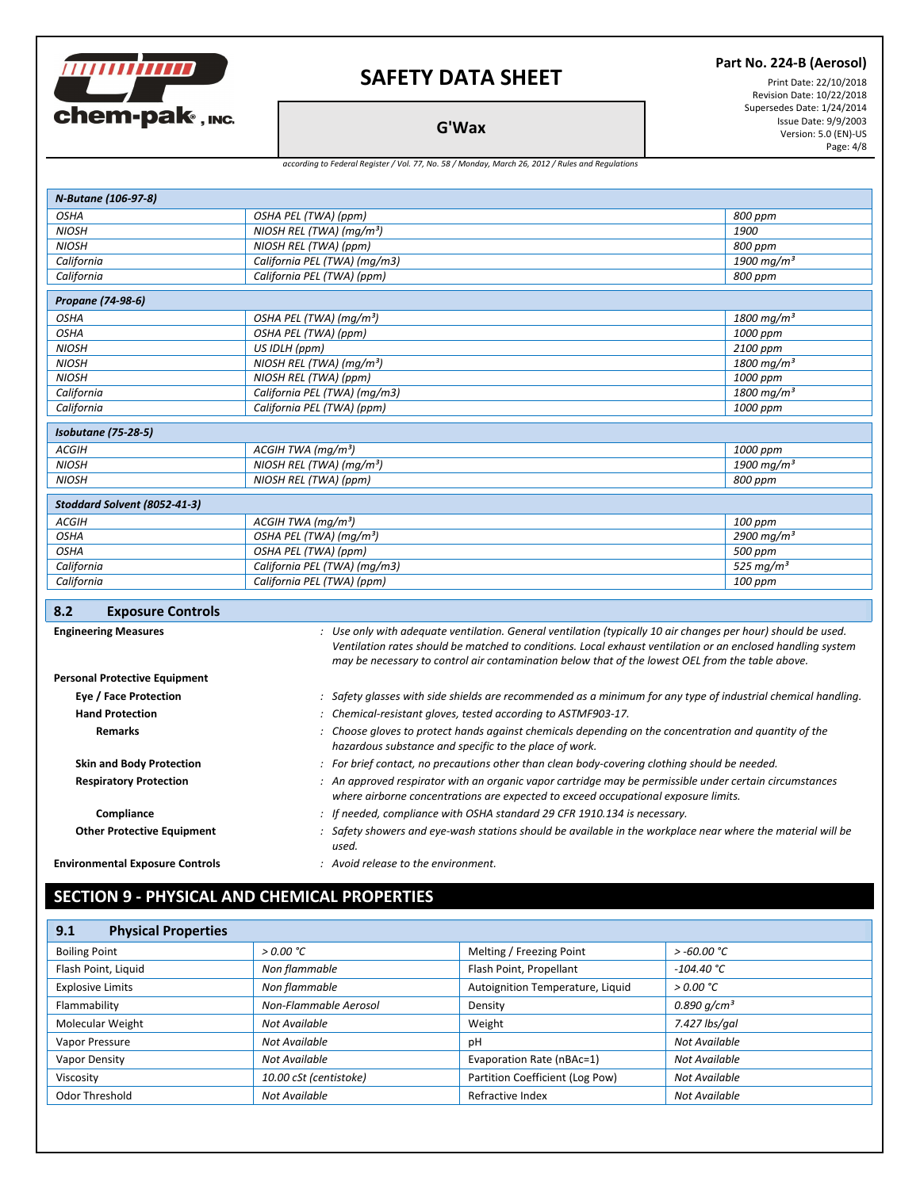

#### **Part No. 224-B (Aerosol)**

Print Date: 22/10/2018 Revision Date: 10/22/2018 Supersedes Date: 1/24/2014 Issue Date: 9/9/2003 Version: 5.0 (EN)-US Page: 4/8

**G'Wax**

#### *according to Federal Register / Vol. 77, No. 58 / Monday, March 26, 2012 / Rules and Regulations*

| N-Butane (106-97-8)                    |                                                                                                                                                                                               |                          |
|----------------------------------------|-----------------------------------------------------------------------------------------------------------------------------------------------------------------------------------------------|--------------------------|
| <b>OSHA</b>                            | OSHA PEL (TWA) (ppm)                                                                                                                                                                          | 800 ppm                  |
| <b>NIOSH</b>                           | NIOSH REL (TWA) ( $mq/m3$ )<br>1900                                                                                                                                                           |                          |
| <b>NIOSH</b>                           | NIOSH REL (TWA) (ppm)<br>800 ppm                                                                                                                                                              |                          |
| California                             | California PEL (TWA) (mg/m3)                                                                                                                                                                  | 1900 mg/m <sup>3</sup>   |
| California                             | California PEL (TWA) (ppm)                                                                                                                                                                    | 800 ppm                  |
| Propane (74-98-6)                      |                                                                                                                                                                                               |                          |
| <b>OSHA</b>                            | OSHA PEL (TWA) (mg/m <sup>3</sup> )<br>$1800 \,\mathrm{mg/m^3}$                                                                                                                               |                          |
| <b>OSHA</b>                            | OSHA PEL (TWA) (ppm)                                                                                                                                                                          | 1000 ppm                 |
| <b>NIOSH</b>                           | US IDLH (ppm)                                                                                                                                                                                 | 2100 ppm                 |
| <b>NIOSH</b>                           | NIOSH REL (TWA) ( $mq/m3$ )                                                                                                                                                                   | $1800 \,\mathrm{mg/m^3}$ |
| <b>NIOSH</b>                           | NIOSH REL (TWA) (ppm)                                                                                                                                                                         | 1000 ppm                 |
| California                             | California PEL (TWA) (mg/m3)                                                                                                                                                                  | $1800 \,\mathrm{mg/m^3}$ |
| California                             | California PEL (TWA) (ppm)                                                                                                                                                                    | 1000 ppm                 |
| <b>Isobutane (75-28-5)</b>             |                                                                                                                                                                                               |                          |
| <b>ACGIH</b>                           | ACGIH TWA (mq/m <sup>3</sup> )<br>1000 ppm                                                                                                                                                    |                          |
| <b>NIOSH</b>                           | NIOSH REL (TWA) ( $mq/m3$ )                                                                                                                                                                   | 1900 mg/m <sup>3</sup>   |
| <b>NIOSH</b>                           | NIOSH REL (TWA) (ppm)<br>800 ppm                                                                                                                                                              |                          |
| Stoddard Solvent (8052-41-3)           |                                                                                                                                                                                               |                          |
| <b>ACGIH</b>                           | ACGIH TWA (mq/m <sup>3</sup> )                                                                                                                                                                | 100 ppm                  |
| <b>OSHA</b>                            | OSHA PEL (TWA) (mg/m <sup>3</sup> )                                                                                                                                                           | 2900 mg/m <sup>3</sup>   |
| <b>OSHA</b>                            | OSHA PEL (TWA) (ppm)<br>500 ppm                                                                                                                                                               |                          |
| California                             | 525 mg/ $m3$<br>California PEL (TWA) (mg/m3)                                                                                                                                                  |                          |
| California                             | California PEL (TWA) (ppm)<br>100 ppm                                                                                                                                                         |                          |
| 8.2<br><b>Exposure Controls</b>        |                                                                                                                                                                                               |                          |
|                                        | : Use only with adequate ventilation. General ventilation (typically 10 air changes per hour) should be used.                                                                                 |                          |
| <b>Engineering Measures</b>            | Ventilation rates should be matched to conditions. Local exhaust ventilation or an enclosed handling system                                                                                   |                          |
|                                        | may be necessary to control air contamination below that of the lowest OEL from the table above.                                                                                              |                          |
| <b>Personal Protective Equipment</b>   |                                                                                                                                                                                               |                          |
| Eye / Face Protection                  | : Safety glasses with side shields are recommended as a minimum for any type of industrial chemical handling.                                                                                 |                          |
| <b>Hand Protection</b>                 | : Chemical-resistant gloves, tested according to ASTMF903-17.                                                                                                                                 |                          |
| <b>Remarks</b>                         | : Choose gloves to protect hands against chemicals depending on the concentration and quantity of the                                                                                         |                          |
|                                        | hazardous substance and specific to the place of work.                                                                                                                                        |                          |
| <b>Skin and Body Protection</b>        | : For brief contact, no precautions other than clean body-covering clothing should be needed.                                                                                                 |                          |
| <b>Respiratory Protection</b>          | : An approved respirator with an organic vapor cartridge may be permissible under certain circumstances<br>where airborne concentrations are expected to exceed occupational exposure limits. |                          |
| Compliance                             | : If needed, compliance with OSHA standard 29 CFR 1910.134 is necessary.                                                                                                                      |                          |
| <b>Other Protective Equipment</b>      | : Safety showers and eye-wash stations should be available in the workplace near where the material will be                                                                                   |                          |
|                                        | used.                                                                                                                                                                                         |                          |
| <b>Environmental Exposure Controls</b> | $:$ Avoid release to the environment.                                                                                                                                                         |                          |

# **SECTION 9 - PHYSICAL AND CHEMICAL PROPERTIES**

| <b>Physical Properties</b><br>9.1 |                        |                                  |                  |
|-----------------------------------|------------------------|----------------------------------|------------------|
| <b>Boiling Point</b>              | > 0.00 °C              | Melting / Freezing Point         | $>$ -60.00 °C    |
| Flash Point, Liquid               | Non flammable          | Flash Point, Propellant          | $-104.40 °C$     |
| <b>Explosive Limits</b>           | Non flammable          | Autoignition Temperature, Liquid | > 0.00 °C        |
| Flammability                      | Non-Flammable Aerosol  | Density                          | 0.890 $q/cm^{3}$ |
| Molecular Weight                  | Not Available          | Weight                           | 7.427 lbs/gal    |
| Vapor Pressure                    | Not Available          | рH                               | Not Available    |
| Vapor Density                     | Not Available          | Evaporation Rate (nBAc=1)        | Not Available    |
| Viscosity                         | 10.00 cSt (centistoke) | Partition Coefficient (Log Pow)  | Not Available    |
| Odor Threshold                    | Not Available          | Refractive Index                 | Not Available    |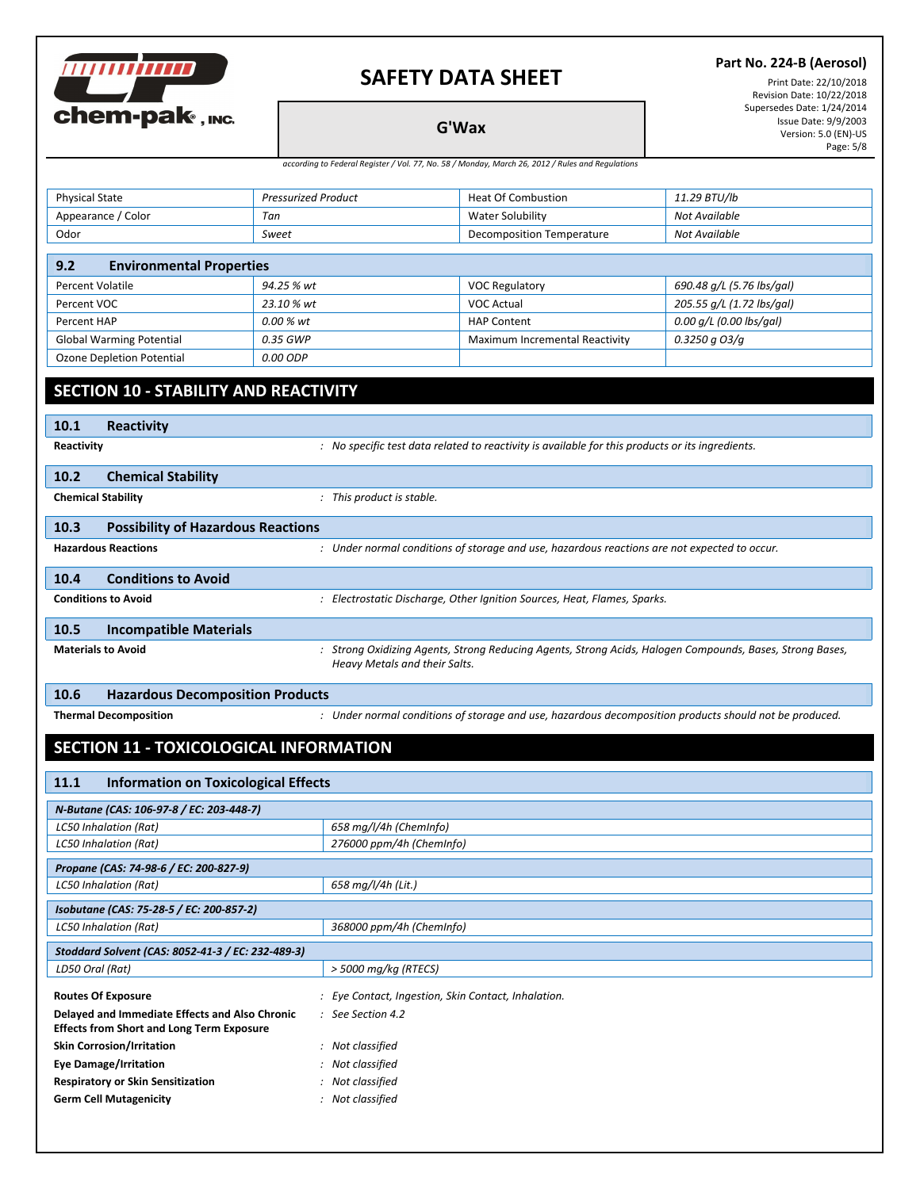

#### **Part No. 224-B (Aerosol)**

Print Date: 22/10/2018 Revision Date: 10/22/2018 Supersedes Date: 1/24/2014 Issue Date: 9/9/2003 Version: 5.0 (EN)-US Page: 5/8

**G'Wax** *according to Federal Register / Vol. 77, No. 58 / Monday, March 26, 2012 / Rules and Regulations*

| <b>Physical State</b>                                                                                                      | <b>Pressurized Product</b> | <b>Heat Of Combustion</b>        | 11.29 BTU/lb              |
|----------------------------------------------------------------------------------------------------------------------------|----------------------------|----------------------------------|---------------------------|
| Appearance / Color                                                                                                         | Tan                        | <b>Water Solubility</b>          | Not Available             |
| Odor                                                                                                                       | Sweet                      | <b>Decomposition Temperature</b> | Not Available             |
|                                                                                                                            |                            |                                  |                           |
| <b>Environmental Properties</b><br>9.2                                                                                     |                            |                                  |                           |
| Percent Volatile                                                                                                           | 94.25 % wt                 | <b>VOC Regulatory</b>            | 690.48 g/L (5.76 lbs/gal) |
| Percent VOC                                                                                                                | 23.10 % wt                 | <b>VOC Actual</b>                | 205.55 g/L (1.72 lbs/gal) |
| Percent HAP                                                                                                                | 0.00 % wt                  | <b>HAP Content</b>               | $0.00$ g/L (0.00 lbs/gal) |
| <b>Global Warming Potential</b>                                                                                            | 0.35 GWP                   | Maximum Incremental Reactivity   | $0.3250$ q $O3/q$         |
| <b>Ozone Depletion Potential</b>                                                                                           | $0.00$ $ODP$               |                                  |                           |
|                                                                                                                            |                            |                                  |                           |
| <b>SECTION 10 - STABILITY AND REACTIVITY</b>                                                                               |                            |                                  |                           |
|                                                                                                                            |                            |                                  |                           |
| <b>Reactivity</b><br>10.1                                                                                                  |                            |                                  |                           |
| : No specific test data related to reactivity is available for this products or its ingredients.<br>Reactivity             |                            |                                  |                           |
|                                                                                                                            |                            |                                  |                           |
| <b>Chemical Stability</b><br>10.2                                                                                          |                            |                                  |                           |
| <b>Chemical Stability</b>                                                                                                  | : This product is stable.  |                                  |                           |
| <b>Possibility of Hazardous Reactions</b><br>10.3                                                                          |                            |                                  |                           |
| : Under normal conditions of storage and use, hazardous reactions are not expected to occur.<br><b>Hazardous Reactions</b> |                            |                                  |                           |

| 10.4 | <b>Conditions to Avoid</b> |                                                                                                          |
|------|----------------------------|----------------------------------------------------------------------------------------------------------|
|      | <b>Conditions to Avoid</b> | : Electrostatic Discharge, Other Ignition Sources, Heat, Flames, Sparks.                                 |
| 10.5 | Incompatible Materials     |                                                                                                          |
|      | <b>Materials to Avoid</b>  | : Strong Oxidizing Agents, Strong Reducing Agents, Strong Acids, Halogen Compounds, Bases, Strong Bases, |

#### **10.6 Hazardous Decomposition Products**

Thermal Decomposition **State of the Constantiation** of storage and use, hazardous decomposition products should not be produced.

### **SECTION 11 - TOXICOLOGICAL INFORMATION**

| <b>Information on Toxicological Effects</b><br>11.1      |                                                     |  |
|----------------------------------------------------------|-----------------------------------------------------|--|
| N-Butane (CAS: 106-97-8 / EC: 203-448-7)                 |                                                     |  |
| 658 mg/l/4h (ChemInfo)<br>LC50 Inhalation (Rat)          |                                                     |  |
| 276000 ppm/4h (ChemInfo)<br><b>LC50 Inhalation (Rat)</b> |                                                     |  |
| Propane (CAS: 74-98-6 / EC: 200-827-9)                   |                                                     |  |
| <b>LC50 Inhalation (Rat)</b>                             | 658 mg/l/4h (Lit.)                                  |  |
| Isobutane (CAS: 75-28-5 / EC: 200-857-2)                 |                                                     |  |
| <b>LC50 Inhalation (Rat)</b>                             | 368000 ppm/4h (ChemInfo)                            |  |
| Stoddard Solvent (CAS: 8052-41-3 / EC: 232-489-3)        |                                                     |  |
| LD50 Oral (Rat)                                          | > 5000 mg/kg (RTECS)                                |  |
| <b>Routes Of Exposure</b>                                | : Eye Contact, Ingestion, Skin Contact, Inhalation. |  |
| Delayed and Immediate Effects and Also Chronic           | $\therefore$ See Section 4.2                        |  |
| <b>Effects from Short and Long Term Exposure</b>         |                                                     |  |
| <b>Skin Corrosion/Irritation</b>                         | : Not classified                                    |  |
| <b>Eye Damage/Irritation</b>                             | : Not classified                                    |  |
| <b>Respiratory or Skin Sensitization</b>                 | : Not classified                                    |  |
| <b>Germ Cell Mutagenicity</b>                            | : Not classified                                    |  |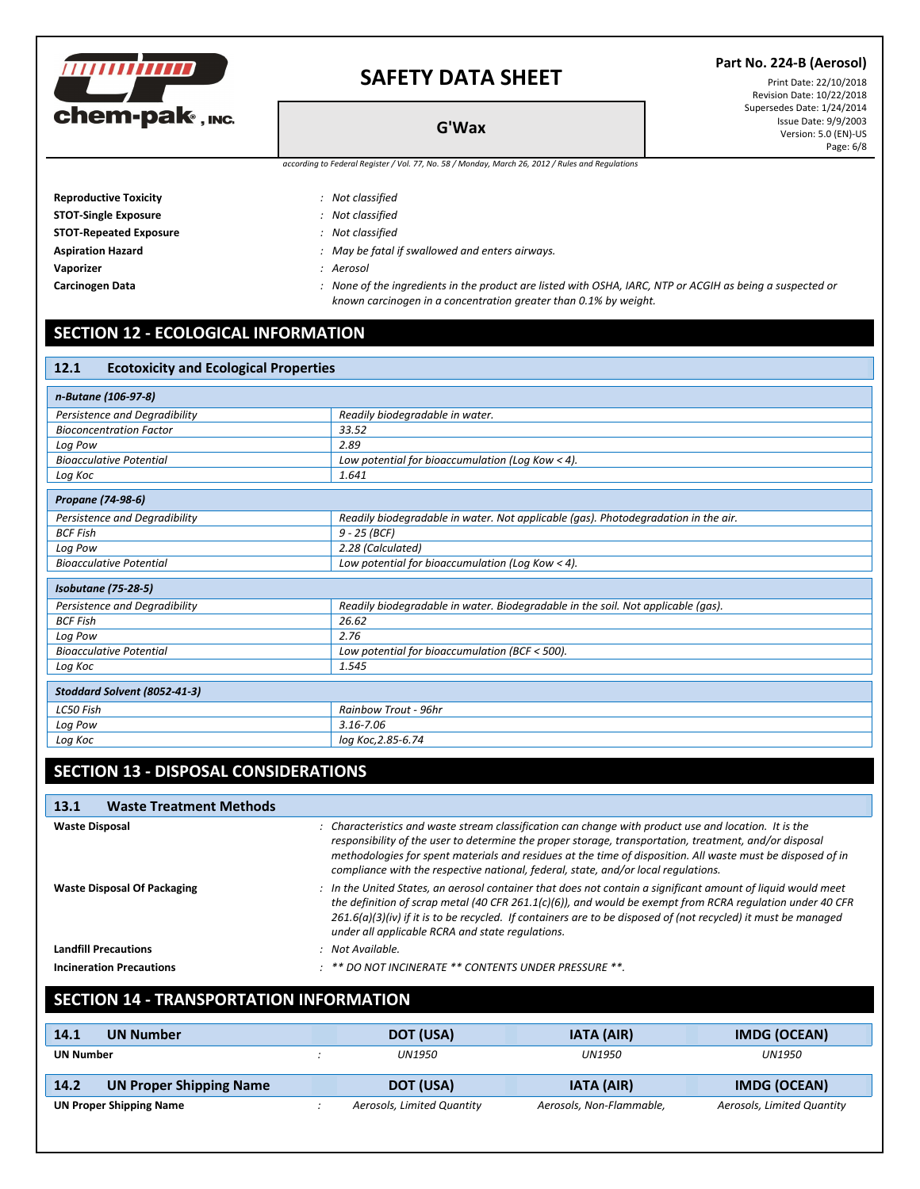

| <b>Reproductive Toxicity</b>  | : Not classified                                |
|-------------------------------|-------------------------------------------------|
| <b>STOT-Single Exposure</b>   | : Not classified                                |
| <b>STOT-Repeated Exposure</b> | : Not classified                                |
| <b>Aspiration Hazard</b>      | : May be fatal if swallowed and enters airways. |
| Vaporizer                     | : Aerosol                                       |
|                               |                                                 |

Carcinogen Data **State Carciography** 2015 Mone of the ingredients in the product are listed with OSHA, IARC, NTP or ACGIH as being a suspected or *known carcinogen in a concentration greater than 0.1% by weight.*

## **SECTION 12 - ECOLOGICAL INFORMATION**

| 12.1<br><b>Ecotoxicity and Ecological Properties</b> |                                                                                    |  |
|------------------------------------------------------|------------------------------------------------------------------------------------|--|
| n-Butane (106-97-8)                                  |                                                                                    |  |
| Persistence and Degradibility                        | Readily biodegradable in water.                                                    |  |
| <b>Bioconcentration Factor</b>                       | 33.52                                                                              |  |
| Log Pow                                              | 2.89                                                                               |  |
| <b>Bioacculative Potential</b>                       | Low potential for bioaccumulation (Log Kow < 4).                                   |  |
| Log Koc                                              | 1.641                                                                              |  |
| Propane (74-98-6)                                    |                                                                                    |  |
| Persistence and Degradibility                        | Readily biodegradable in water. Not applicable (gas). Photodegradation in the air. |  |
| <b>BCF Fish</b>                                      | $9 - 25$ (BCF)                                                                     |  |
| Log Pow                                              | 2.28 (Calculated)                                                                  |  |
| <b>Bioacculative Potential</b>                       | Low potential for bioaccumulation (Log Kow < 4).                                   |  |
| <b>Isobutane</b> (75-28-5)                           |                                                                                    |  |
| Persistence and Degradibility                        | Readily biodegradable in water. Biodegradable in the soil. Not applicable (qas).   |  |
| <b>BCF Fish</b>                                      | 26.62                                                                              |  |
| Log Pow                                              | 2.76                                                                               |  |
| <b>Bioacculative Potential</b>                       | Low potential for bioaccumulation (BCF < 500).                                     |  |
| Log Koc                                              | 1.545                                                                              |  |
| Stoddard Solvent (8052-41-3)                         |                                                                                    |  |
| LC50 Fish                                            | <b>Rainbow Trout - 96hr</b>                                                        |  |
| Log Pow                                              | $3.16 - 7.06$                                                                      |  |
| Log Koc                                              | log Koc, 2.85-6.74                                                                 |  |

## **SECTION 13 - DISPOSAL CONSIDERATIONS**

| <b>Waste Treatment Methods</b><br>13.1 |                                                                                                                                                                                                                                                                                                                                                                                                                      |
|----------------------------------------|----------------------------------------------------------------------------------------------------------------------------------------------------------------------------------------------------------------------------------------------------------------------------------------------------------------------------------------------------------------------------------------------------------------------|
| <b>Waste Disposal</b>                  | : Characteristics and waste stream classification can change with product use and location. It is the<br>responsibility of the user to determine the proper storage, transportation, treatment, and/or disposal<br>methodologies for spent materials and residues at the time of disposition. All waste must be disposed of in<br>compliance with the respective national, federal, state, and/or local regulations. |
| <b>Waste Disposal Of Packaging</b>     | : In the United States, an aerosol container that does not contain a significant amount of liquid would meet<br>the definition of scrap metal (40 CFR 261.1(c)(6)), and would be exempt from RCRA requlation under 40 CFR<br>$261.6(a)(3)(iv)$ if it is to be recycled. If containers are to be disposed of (not recycled) it must be managed<br>under all applicable RCRA and state regulations.                    |
| <b>Landfill Precautions</b>            | : Not Available.                                                                                                                                                                                                                                                                                                                                                                                                     |
| <b>Incineration Precautions</b>        | $:$ ** DO NOT INCINERATE ** CONTENTS UNDER PRESSURE **.                                                                                                                                                                                                                                                                                                                                                              |

### **SECTION 14 - TRANSPORTATION INFORMATION**

| 14.1<br><b>UN Number</b>               | DOT (USA)                  | <b>IATA (AIR)</b>        | IMDG (OCEAN)               |
|----------------------------------------|----------------------------|--------------------------|----------------------------|
| <b>UN Number</b>                       | UN1950                     | <b>UN1950</b><br>UN1950  |                            |
| <b>UN Proper Shipping Name</b><br>14.2 | DOT (USA)                  | IATA (AIR)               | <b>IMDG (OCEAN)</b>        |
| <b>UN Proper Shipping Name</b>         | Aerosols, Limited Quantity | Aerosols, Non-Flammable, | Aerosols, Limited Quantity |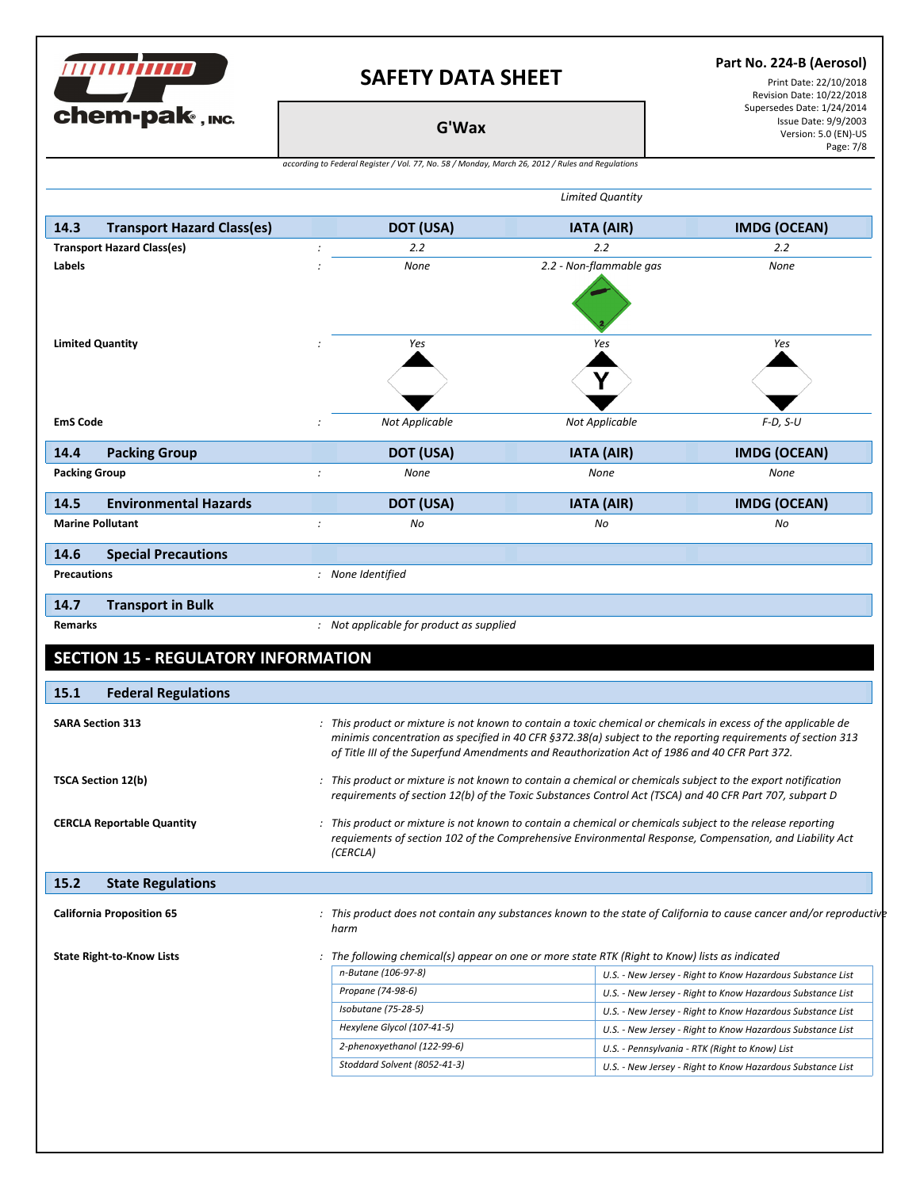**THE CONTRACTOR** 

chem-pak, INC.

#### **Part No. 224-B (Aerosol)**

Print Date: 22/10/2018 Revision Date: 10/22/2018 Supersedes Date: 1/24/2014 Issue Date: 9/9/2003 Version: 5.0 (EN)-US Page: 7/8

**G'Wax**

| according to Federal Register / Vol. 77, No. 58 / Monday, March 26, 2012 / Rules and Regulations |
|--------------------------------------------------------------------------------------------------|
|--------------------------------------------------------------------------------------------------|

| 14.3<br><b>Transport Hazard Class(es)</b>                                                                                             | <b>DOT (USA)</b>                                                                                                            | <b>IATA (AIR)</b>                                                                                                                                                                                             | <b>IMDG (OCEAN)</b>                                        |
|---------------------------------------------------------------------------------------------------------------------------------------|-----------------------------------------------------------------------------------------------------------------------------|---------------------------------------------------------------------------------------------------------------------------------------------------------------------------------------------------------------|------------------------------------------------------------|
| <b>Transport Hazard Class(es)</b>                                                                                                     | 2.2<br>$\ddot{\cdot}$                                                                                                       | 2.2                                                                                                                                                                                                           | $2.2\phantom{0}$                                           |
| Labels                                                                                                                                | None                                                                                                                        | 2.2 - Non-flammable gas                                                                                                                                                                                       | None                                                       |
|                                                                                                                                       |                                                                                                                             |                                                                                                                                                                                                               |                                                            |
|                                                                                                                                       |                                                                                                                             |                                                                                                                                                                                                               |                                                            |
|                                                                                                                                       |                                                                                                                             |                                                                                                                                                                                                               |                                                            |
| <b>Limited Quantity</b>                                                                                                               | Yes                                                                                                                         | Yes                                                                                                                                                                                                           | Yes                                                        |
|                                                                                                                                       |                                                                                                                             |                                                                                                                                                                                                               |                                                            |
|                                                                                                                                       |                                                                                                                             |                                                                                                                                                                                                               |                                                            |
|                                                                                                                                       |                                                                                                                             |                                                                                                                                                                                                               |                                                            |
| <b>EmS Code</b>                                                                                                                       | <b>Not Applicable</b>                                                                                                       | Not Applicable                                                                                                                                                                                                | $F-D, S-U$                                                 |
| 14.4<br><b>Packing Group</b>                                                                                                          | DOT (USA)                                                                                                                   | <b>IATA (AIR)</b>                                                                                                                                                                                             | <b>IMDG (OCEAN)</b>                                        |
| <b>Packing Group</b>                                                                                                                  | None<br>$\cdot$                                                                                                             | None                                                                                                                                                                                                          | None                                                       |
| <b>Environmental Hazards</b><br>14.5                                                                                                  | DOT (USA)                                                                                                                   | <b>IATA (AIR)</b>                                                                                                                                                                                             | <b>IMDG (OCEAN)</b>                                        |
| <b>Marine Pollutant</b>                                                                                                               | $\cdot$<br>No                                                                                                               | No                                                                                                                                                                                                            | No                                                         |
| 14.6<br><b>Special Precautions</b>                                                                                                    |                                                                                                                             |                                                                                                                                                                                                               |                                                            |
| <b>Precautions</b>                                                                                                                    | : None Identified                                                                                                           |                                                                                                                                                                                                               |                                                            |
|                                                                                                                                       |                                                                                                                             |                                                                                                                                                                                                               |                                                            |
|                                                                                                                                       |                                                                                                                             |                                                                                                                                                                                                               |                                                            |
| 14.7<br><b>Transport in Bulk</b><br><b>Remarks</b><br><b>SECTION 15 - REGULATORY INFORMATION</b>                                      | : Not applicable for product as supplied                                                                                    |                                                                                                                                                                                                               |                                                            |
| <b>Federal Regulations</b>                                                                                                            |                                                                                                                             |                                                                                                                                                                                                               |                                                            |
|                                                                                                                                       | : This product or mixture is not known to contain a toxic chemical or chemicals in excess of the applicable de              | minimis concentration as specified in 40 CFR §372.38(a) subject to the reporting requirements of section 313<br>of Title III of the Superfund Amendments and Reauthorization Act of 1986 and 40 CFR Part 372. |                                                            |
|                                                                                                                                       | : This product or mixture is not known to contain a chemical or chemicals subject to the export notification                | requirements of section 12(b) of the Toxic Substances Control Act (TSCA) and 40 CFR Part 707, subpart D                                                                                                       |                                                            |
|                                                                                                                                       | : This product or mixture is not known to contain a chemical or chemicals subject to the release reporting<br>(CERCLA)      | requiements of section 102 of the Comprehensive Environmental Response, Compensation, and Liability Act                                                                                                       |                                                            |
| 15.1<br><b>SARA Section 313</b><br><b>TSCA Section 12(b)</b><br><b>CERCLA Reportable Quantity</b><br>15.2<br><b>State Regulations</b> |                                                                                                                             |                                                                                                                                                                                                               |                                                            |
|                                                                                                                                       | : This product does not contain any substances known to the state of California to cause cancer and/or reproductive<br>harm |                                                                                                                                                                                                               |                                                            |
|                                                                                                                                       |                                                                                                                             | The following chemical(s) appear on one or more state RTK (Right to Know) lists as indicated                                                                                                                  |                                                            |
|                                                                                                                                       | n-Butane (106-97-8)                                                                                                         |                                                                                                                                                                                                               | U.S. - New Jersey - Right to Know Hazardous Substance List |
|                                                                                                                                       | Propane (74-98-6)                                                                                                           |                                                                                                                                                                                                               | U.S. - New Jersey - Right to Know Hazardous Substance List |
|                                                                                                                                       | Isobutane (75-28-5)                                                                                                         |                                                                                                                                                                                                               | U.S. - New Jersey - Right to Know Hazardous Substance List |
|                                                                                                                                       | Hexylene Glycol (107-41-5)                                                                                                  |                                                                                                                                                                                                               | U.S. - New Jersey - Right to Know Hazardous Substance List |
| <b>California Proposition 65</b><br><b>State Right-to-Know Lists</b>                                                                  | 2-phenoxyethanol (122-99-6)                                                                                                 |                                                                                                                                                                                                               | U.S. - Pennsylvania - RTK (Right to Know) List             |